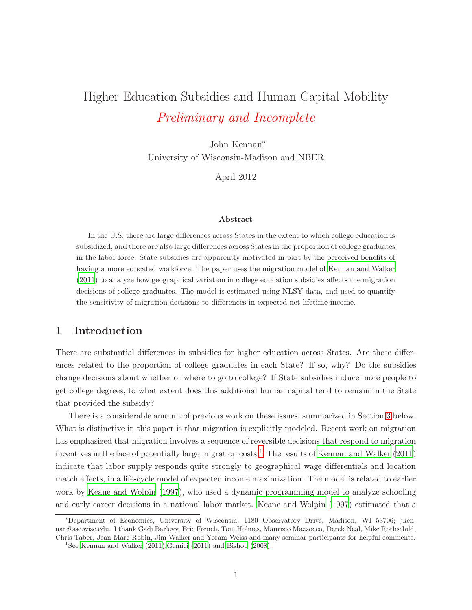# Higher Education Subsidies and Human Capital Mobility Preliminary and Incomplete

John Kennan<sup>∗</sup> University of Wisconsin-Madison and NBER

April 2012

#### Abstract

In the U.S. there are large differences across States in the extent to which college education is subsidized, and there are also large differences across States in the proportion of college graduates in the labor force. State subsidies are apparently motivated in part by the perceived benefits of having a more educated workforce. The paper uses the migration model of [Kennan and Walker](#page-22-0) [\(2011](#page-22-0)) to analyze how geographical variation in college education subsidies affects the migration decisions of college graduates. The model is estimated using NLSY data, and used to quantify the sensitivity of migration decisions to differences in expected net lifetime income.

# 1 Introduction

There are substantial differences in subsidies for higher education across States. Are these differences related to the proportion of college graduates in each State? If so, why? Do the subsidies change decisions about whether or where to go to college? If State subsidies induce more people to get college degrees, to what extent does this additional human capital tend to remain in the State that provided the subsidy?

There is a considerable amount of previous work on these issues, summarized in Section [3](#page-6-0) below. What is distinctive in this paper is that migration is explicitly modeled. Recent work on migration has emphasized that migration involves a sequence of reversible decisions that respond to migration incentives in the face of potentially large migration costs. [1](#page-0-0) The results of [Kennan and Walker \(2011\)](#page-22-0) indicate that labor supply responds quite strongly to geographical wage differentials and location match effects, in a life-cycle model of expected income maximization. The model is related to earlier work by [Keane and Wolpin \(1997](#page-22-1)), who used a dynamic programming model to analyze schooling and early career decisions in a national labor market. Keane [and Wolpin \(1997](#page-22-1)) estimated that a

<sup>∗</sup>Department of Economics, University of Wisconsin, 1180 Observatory Drive, Madison, WI 53706; jkennan@ssc.wisc.edu. I thank Gadi Barlevy, Eric French, Tom Holmes, Maurizio Mazzocco, Derek Neal, Mike Rothschild, Chris Taber, Jean-Marc Robin, Jim Walker and Yoram Weiss and many seminar participants for helpful comments.

<span id="page-0-0"></span><sup>&</sup>lt;sup>1</sup>See [Kennan and Walker \(2011](#page-22-0)), Gemici (2011) and [Bishop \(2008\)](#page-21-1).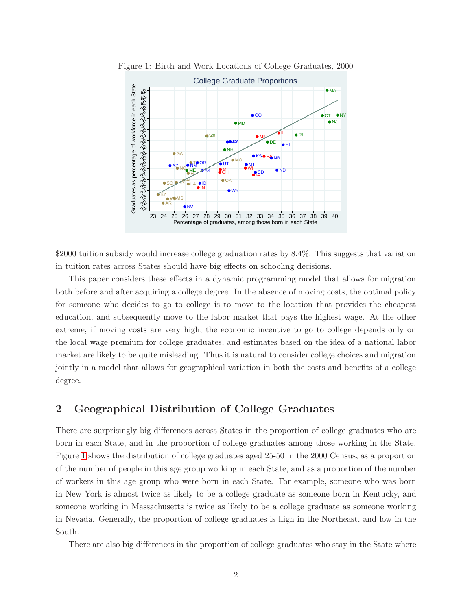<span id="page-1-0"></span>

Figure 1: Birth and Work Locations of College Graduates, 2000

\$2000 tuition subsidy would increase college graduation rates by 8.4%. This suggests that variation in tuition rates across States should have big effects on schooling decisions.

This paper considers these effects in a dynamic programming model that allows for migration both before and after acquiring a college degree. In the absence of moving costs, the optimal policy for someone who decides to go to college is to move to the location that provides the cheapest education, and subsequently move to the labor market that pays the highest wage. At the other extreme, if moving costs are very high, the economic incentive to go to college depends only on the local wage premium for college graduates, and estimates based on the idea of a national labor market are likely to be quite misleading. Thus it is natural to consider college choices and migration jointly in a model that allows for geographical variation in both the costs and benefits of a college degree.

## 2 Geographical Distribution of College Graduates

There are surprisingly big differences across States in the proportion of college graduates who are born in each State, and in the proportion of college graduates among those working in the State. Figure [1](#page-1-0) shows the distribution of college graduates aged 25-50 in the 2000 Census, as a proportion of the number of people in this age group working in each State, and as a proportion of the number of workers in this age group who were born in each State. For example, someone who was born in New York is almost twice as likely to be a college graduate as someone born in Kentucky, and someone working in Massachusetts is twice as likely to be a college graduate as someone working in Nevada. Generally, the proportion of college graduates is high in the Northeast, and low in the South.

There are also big differences in the proportion of college graduates who stay in the State where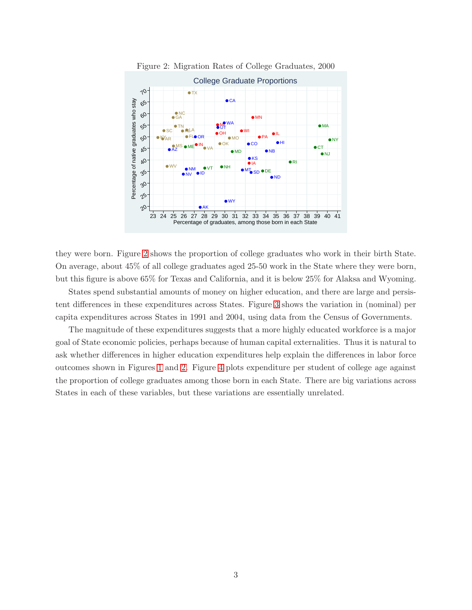

<span id="page-2-0"></span>Figure 2: Migration Rates of College Graduates, 2000

they were born. Figure [2](#page-2-0) shows the proportion of college graduates who work in their birth State. On average, about 45% of all college graduates aged 25-50 work in the State where they were born, but this figure is above 65% for Texas and California, and it is below 25% for Alaksa and Wyoming.

States spend substantial amounts of money on higher education, and there are large and persistent differences in these expenditures across States. Figure [3](#page-3-0) shows the variation in (nominal) per capita expenditures across States in 1991 and 2004, using data from the Census of Governments.

The magnitude of these expenditures suggests that a more highly educated workforce is a major goal of State economic policies, perhaps because of human capital externalities. Thus it is natural to ask whether differences in higher education expenditures help explain the differences in labor force outcomes shown in Figures [1](#page-1-0) and [2.](#page-2-0) Figure [4](#page-3-1) plots expenditure per student of college age against the proportion of college graduates among those born in each State. There are big variations across States in each of these variables, but these variations are essentially unrelated.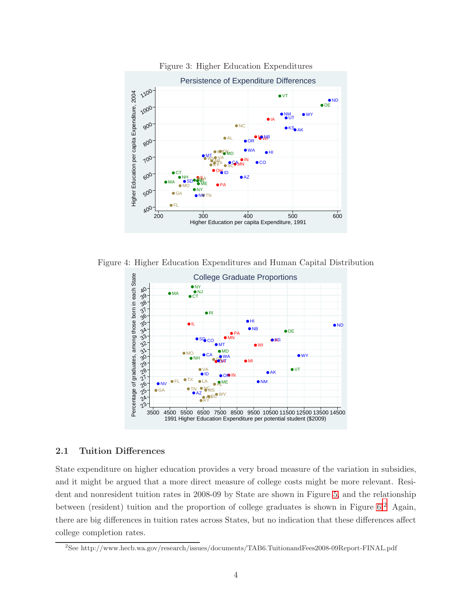

<span id="page-3-0"></span>Figure 3: Higher Education Expenditures

Figure 4: Higher Education Expenditures and Human Capital Distribution

<span id="page-3-1"></span>

#### 2.1 Tuition Differences

State expenditure on higher education provides a very broad measure of the variation in subsidies, and it might be argued that a more direct measure of college costs might be more relevant. Resident and nonresident tuition rates in 2008-09 by State are shown in Figure [5,](#page-4-0) and the relationship between (resident) tuition and the proportion of college graduates is shown in Figure [6.](#page-4-1)<sup>[2](#page-3-2)</sup> Again, there are big differences in tuition rates across States, but no indication that these differences affect college completion rates.

<span id="page-3-2"></span><sup>2</sup> See http://www.hecb.wa.gov/research/issues/documents/TAB6.TuitionandFees2008-09Report-FINAL.pdf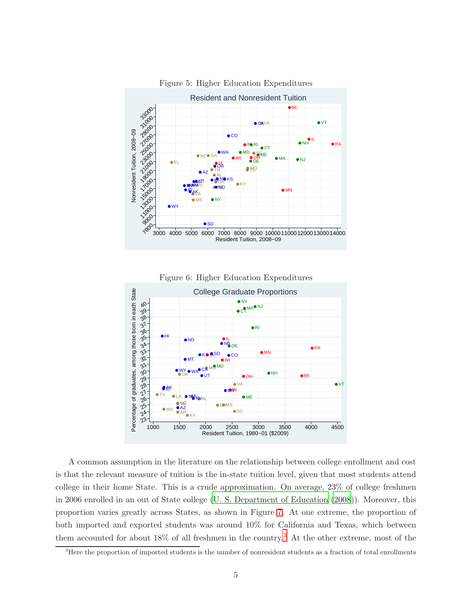

<span id="page-4-0"></span>Figure 5: Higher Education Expenditures

<span id="page-4-1"></span>



A common assumption in the literature on the relationship between college enrollment and cost is that the relevant measure of tuition is the in-state tuition level, given that most students attend college in their home State. This is a crude approximation. On average, 23% of college freshmen in 2006 enrolled in an out of State college [\(U. S. Department of Education \(2008](#page-22-2))). Moreover, this proportion varies greatly across States, as shown in Figure [7.](#page-5-0) At one extreme, the proportion of both imported and exported students was around 10% for California and Texas, which between them accounted for about 18% of all freshmen in the country.[3](#page-4-2) At the other extreme, most of the

<span id="page-4-2"></span> $3$ Here the proportion of imported students is the number of nonresident students as a fraction of total enrollments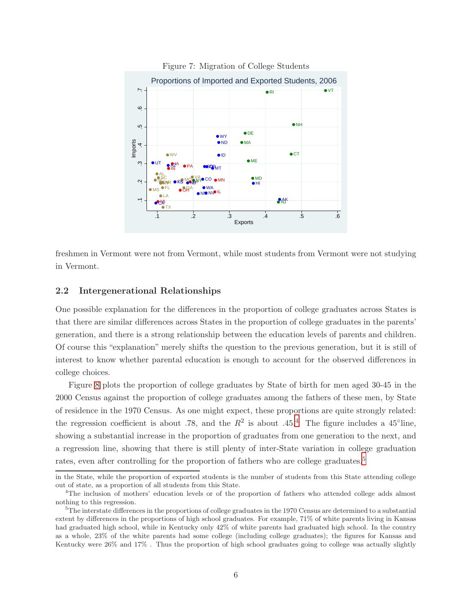

<span id="page-5-0"></span>Figure 7: Migration of College Students

freshmen in Vermont were not from Vermont, while most students from Vermont were not studying in Vermont.

#### 2.2 Intergenerational Relationships

One possible explanation for the differences in the proportion of college graduates across States is that there are similar differences across States in the proportion of college graduates in the parents' generation, and there is a strong relationship between the education levels of parents and children. Of course this "explanation" merely shifts the question to the previous generation, but it is still of interest to know whether parental education is enough to account for the observed differences in college choices.

Figure [8](#page-6-1) plots the proportion of college graduates by State of birth for men aged 30-45 in the 2000 Census against the proportion of college graduates among the fathers of these men, by State of residence in the 1970 Census. As one might expect, these proportions are quite strongly related: the regression coefficient is about .78, and the  $R^2$  is about .[4](#page-5-1)5.<sup>4</sup> The figure includes a 45°line, showing a substantial increase in the proportion of graduates from one generation to the next, and a regression line, showing that there is still plenty of inter-State variation in college graduation rates, even after controlling for the proportion of fathers who are college graduates.<sup>[5](#page-5-2)</sup>

in the State, while the proportion of exported students is the number of students from this State attending college out of state, as a proportion of all students from this State.

<span id="page-5-1"></span><sup>4</sup>The inclusion of mothers' education levels or of the proportion of fathers who attended college adds almost nothing to this regression.

<span id="page-5-2"></span> ${}^{5}$ The interstate differences in the proportions of college graduates in the 1970 Census are determined to a substantial extent by differences in the proportions of high school graduates. For example, 71% of white parents living in Kansas had graduated high school, while in Kentucky only 42% of white parents had graduated high school. In the country as a whole, 23% of the white parents had some college (including college graduates); the figures for Kansas and Kentucky were 26% and 17% . Thus the proportion of high school graduates going to college was actually slightly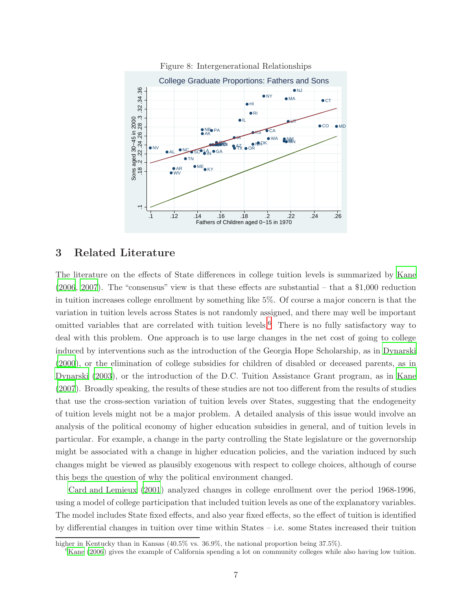

<span id="page-6-1"></span>Figure 8: Intergenerational Relationships

## <span id="page-6-0"></span>3 Related Literature

The literature on the effects of State differences in college tuition levels is summarized by [Kane](#page-21-2) [\(2006](#page-21-2), [2007\)](#page-21-3). The "consensus" view is that these effects are substantial – that a \$1,000 reduction in tuition increases college enrollment by something like 5%. Of course a major concern is that the variation in tuition levels across States is not randomly assigned, and there may well be important omitted variables that are correlated with tuition levels.[6](#page-6-2) There is no fully satisfactory way to deal with this problem. One approach is to use large changes in the net cost of going to college induced by interventions such as the introduction of the Georgia Hope Scholarship, as in [Dynarski](#page-21-4) [\(2000](#page-21-4)), or the elimination of college subsidies for children of disabled or deceased parents, as in [Dynarski \(2003](#page-21-5)), or the introduction of the D.C. Tuition Assistance Grant program, as in [Kane](#page-21-3) [\(2007](#page-21-3)). Broadly speaking, the results of these studies are not too different from the results of studies that use the cross-section variation of tuition levels over States, suggesting that the endogeneity of tuition levels might not be a major problem. A detailed analysis of this issue would involve an analysis of the political economy of higher education subsidies in general, and of tuition levels in particular. For example, a change in the party controlling the State legislature or the governorship might be associated with a change in higher education policies, and the variation induced by such changes might be viewed as plausibly exogenous with respect to college choices, although of course this begs the question of why the political environment changed.

[Card and Lemieux \(2001](#page-21-6)) analyzed changes in college enrollment over the period 1968-1996, using a model of college participation that included tuition levels as one of the explanatory variables. The model includes State fixed effects, and also year fixed effects, so the effect of tuition is identified by differential changes in tuition over time within States – i.e. some States increased their tuition

higher in Kentucky than in Kansas (40.5% vs. 36.9%, the national proportion being 37.5%).

<span id="page-6-2"></span> ${}^{6}$ [Kane \(2006](#page-21-2)) gives the example of California spending a lot on community colleges while also having low tuition.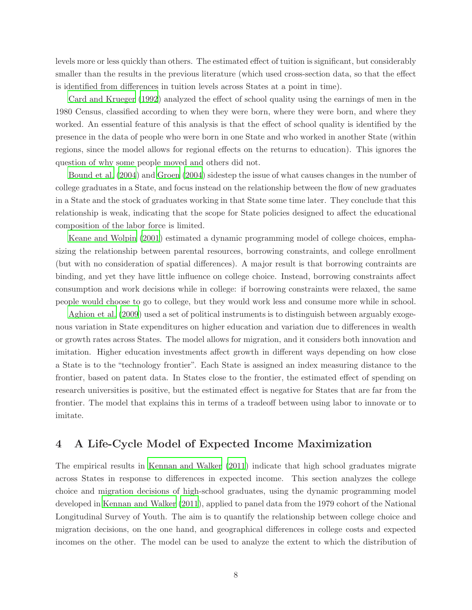levels more or less quickly than others. The estimated effect of tuition is significant, but considerably smaller than the results in the previous literature (which used cross-section data, so that the effect is identified from differences in tuition levels across States at a point in time).

[Card and Krueger \(1992](#page-21-7)) analyzed the effect of school quality using the earnings of men in the 1980 Census, classified according to when they were born, where they were born, and where they worked. An essential feature of this analysis is that the effect of school quality is identified by the presence in the data of people who were born in one State and who worked in another State (within regions, since the model allows for regional effects on the returns to education). This ignores the question of why some people moved and others did not.

[Bound et al. \(2004\)](#page-21-8) and [Groen \(2004](#page-21-9)) sidestep the issue of what causes changes in the number of college graduates in a State, and focus instead on the relationship between the flow of new graduates in a State and the stock of graduates working in that State some time later. They conclude that this relationship is weak, indicating that the scope for State policies designed to affect the educational composition of the labor force is limited.

[Keane and Wolpin \(2001](#page-22-3)) estimated a dynamic programming model of college choices, emphasizing the relationship between parental resources, borrowing constraints, and college enrollment (but with no consideration of spatial differences). A major result is that borrowing contraints are binding, and yet they have little influence on college choice. Instead, borrowing constraints affect consumption and work decisions while in college: if borrowing constraints were relaxed, the same people would choose to go to college, but they would work less and consume more while in school.

[Aghion et al. \(2009\)](#page-21-10) used a set of political instruments is to distinguish between arguably exogenous variation in State expenditures on higher education and variation due to differences in wealth or growth rates across States. The model allows for migration, and it considers both innovation and imitation. Higher education investments affect growth in different ways depending on how close a State is to the "technology frontier". Each State is assigned an index measuring distance to the frontier, based on patent data. In States close to the frontier, the estimated effect of spending on research universities is positive, but the estimated effect is negative for States that are far from the frontier. The model that explains this in terms of a tradeoff between using labor to innovate or to imitate.

# <span id="page-7-0"></span>4 A Life-Cycle Model of Expected Income Maximization

The empirical results in [Kennan and Walker \(2011](#page-22-0)) indicate that high school graduates migrate across States in response to differences in expected income. This section analyzes the college choice and migration decisions of high-school graduates, using the dynamic programming model developed in [Kennan and Walker \(2011](#page-22-0)), applied to panel data from the 1979 cohort of the National Longitudinal Survey of Youth. The aim is to quantify the relationship between college choice and migration decisions, on the one hand, and geographical differences in college costs and expected incomes on the other. The model can be used to analyze the extent to which the distribution of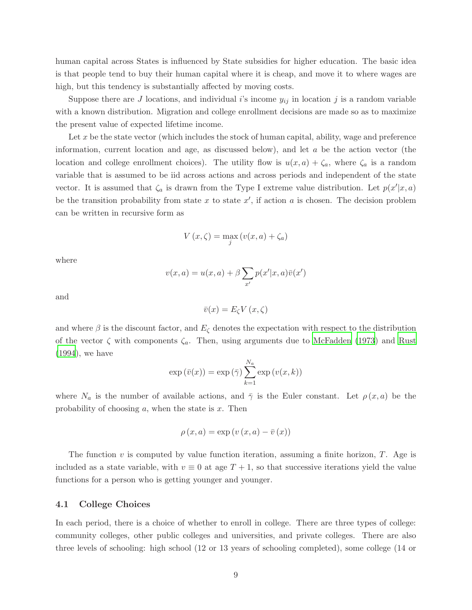human capital across States is influenced by State subsidies for higher education. The basic idea is that people tend to buy their human capital where it is cheap, and move it to where wages are high, but this tendency is substantially affected by moving costs.

Suppose there are J locations, and individual i's income  $y_{ij}$  in location j is a random variable with a known distribution. Migration and college enrollment decisions are made so as to maximize the present value of expected lifetime income.

Let  $x$  be the state vector (which includes the stock of human capital, ability, wage and preference information, current location and age, as discussed below), and let  $a$  be the action vector (the location and college enrollment choices). The utility flow is  $u(x, a) + \zeta_a$ , where  $\zeta_a$  is a random variable that is assumed to be iid across actions and across periods and independent of the state vector. It is assumed that  $\zeta_a$  is drawn from the Type I extreme value distribution. Let  $p(x'|x, a)$ be the transition probability from state x to state  $x'$ , if action a is chosen. The decision problem can be written in recursive form as

$$
V(x,\zeta) = \max_{j} \left( v(x,a) + \zeta_a \right)
$$

where

$$
v(x,a) = u(x,a) + \beta \sum_{x'} p(x'|x,a)\overline{v}(x')
$$

and

$$
\bar{v}(x) = E_{\zeta} V(x, \zeta)
$$

and where  $\beta$  is the discount factor, and  $E_{\zeta}$  denotes the expectation with respect to the distribution of the vector  $\zeta$  with components  $\zeta_a$ . Then, using arguments due to [McFadden \(1973](#page-22-4)) and [Rust](#page-22-5) [\(1994](#page-22-5)), we have

$$
\exp(\bar{v}(x)) = \exp(\bar{\gamma}) \sum_{k=1}^{N_a} \exp(v(x, k))
$$

where  $N_a$  is the number of available actions, and  $\bar{\gamma}$  is the Euler constant. Let  $\rho(x, a)$  be the probability of choosing  $a$ , when the state is  $x$ . Then

$$
\rho(x, a) = \exp(v(x, a) - \overline{v}(x))
$$

The function  $v$  is computed by value function iteration, assuming a finite horizon,  $T$ . Age is included as a state variable, with  $v \equiv 0$  at age  $T + 1$ , so that successive iterations yield the value functions for a person who is getting younger and younger.

#### 4.1 College Choices

In each period, there is a choice of whether to enroll in college. There are three types of college: community colleges, other public colleges and universities, and private colleges. There are also three levels of schooling: high school (12 or 13 years of schooling completed), some college (14 or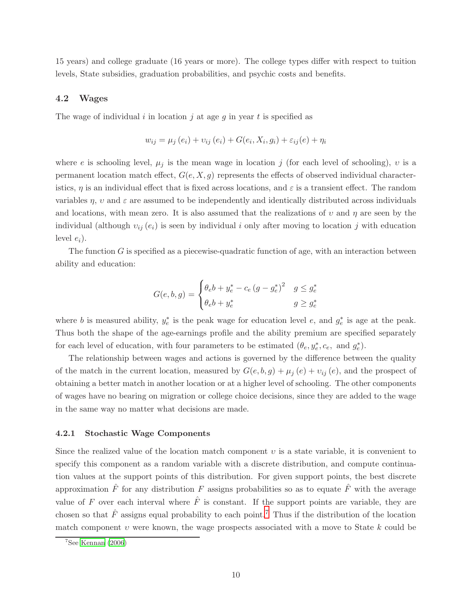15 years) and college graduate (16 years or more). The college types differ with respect to tuition levels, State subsidies, graduation probabilities, and psychic costs and benefits.

#### 4.2 Wages

The wage of individual i in location j at age g in year t is specified as

$$
w_{ij} = \mu_j(e_i) + v_{ij}(e_i) + G(e_i, X_i, g_i) + \varepsilon_{ij}(e) + \eta_i
$$

where e is schooling level,  $\mu_j$  is the mean wage in location j (for each level of schooling), v is a permanent location match effect,  $G(e, X, g)$  represents the effects of observed individual characteristics,  $\eta$  is an individual effect that is fixed across locations, and  $\varepsilon$  is a transient effect. The random variables  $\eta$ , v and  $\varepsilon$  are assumed to be independently and identically distributed across individuals and locations, with mean zero. It is also assumed that the realizations of v and  $\eta$  are seen by the individual (although  $v_{ij}(e_i)$  is seen by individual i only after moving to location j with education level  $e_i$ ).

The function  $G$  is specified as a piecewise-quadratic function of age, with an interaction between ability and education:

$$
G(e, b, g) = \begin{cases} \theta_e b + y_e^* - c_e (g - g_e^*)^2 & g \le g_e^* \\ \theta_e b + y_e^* & g \ge g_e^* \end{cases}
$$

where *b* is measured ability,  $y_e^*$  $e^*$  is the peak wage for education level  $e$ , and  $g^*_e$  $e^*$  is age at the peak. Thus both the shape of the age-earnings profile and the ability premium are specified separately for each level of education, with four parameters to be estimated  $(\theta_e, y_e^*, c_e, \text{ and } g_e^*$  $_{e}^{\ast}).$ 

The relationship between wages and actions is governed by the difference between the quality of the match in the current location, measured by  $G(e, b, g) + \mu_j(e) + \nu_{ij}(e)$ , and the prospect of obtaining a better match in another location or at a higher level of schooling. The other components of wages have no bearing on migration or college choice decisions, since they are added to the wage in the same way no matter what decisions are made.

#### 4.2.1 Stochastic Wage Components

Since the realized value of the location match component  $\nu$  is a state variable, it is convenient to specify this component as a random variable with a discrete distribution, and compute continuation values at the support points of this distribution. For given support points, the best discrete approximation  $\hat{F}$  for any distribution F assigns probabilities so as to equate  $\hat{F}$  with the average value of F over each interval where  $\hat{F}$  is constant. If the support points are variable, they are chosen so that  $\hat{F}$  assigns equal probability to each point.<sup>[7](#page-9-0)</sup> Thus if the distribution of the location match component  $v$  were known, the wage prospects associated with a move to State  $k$  could be

<span id="page-9-0"></span> $7$ See [Kennan \(2006](#page-22-6))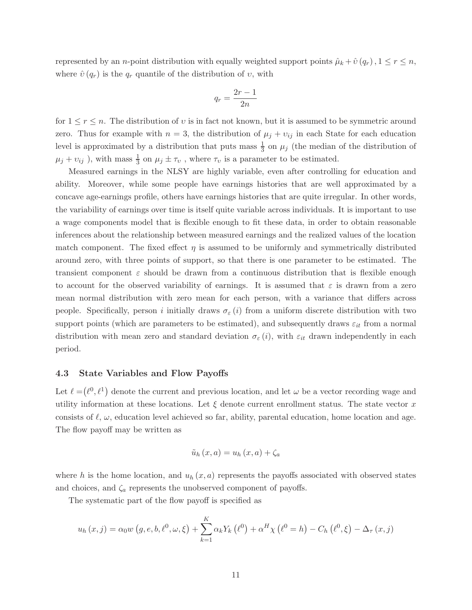represented by an *n*-point distribution with equally weighted support points  $\hat{\mu}_k + \hat{v}(q_r)$ ,  $1 \leq r \leq n$ , where  $\hat{v}(q_r)$  is the  $q_r$  quantile of the distribution of  $v$ , with

$$
q_r = \frac{2r - 1}{2n}
$$

for  $1 \leq r \leq n$ . The distribution of v is in fact not known, but it is assumed to be symmetric around zero. Thus for example with  $n = 3$ , the distribution of  $\mu_j + \nu_{ij}$  in each State for each education level is approximated by a distribution that puts mass  $\frac{1}{3}$  on  $\mu_j$  (the median of the distribution of  $\mu_j + \nu_{ij}$ ), with mass  $\frac{1}{3}$  on  $\mu_j \pm \tau_v$ , where  $\tau_v$  is a parameter to be estimated.

Measured earnings in the NLSY are highly variable, even after controlling for education and ability. Moreover, while some people have earnings histories that are well approximated by a concave age-earnings profile, others have earnings histories that are quite irregular. In other words, the variability of earnings over time is itself quite variable across individuals. It is important to use a wage components model that is flexible enough to fit these data, in order to obtain reasonable inferences about the relationship between measured earnings and the realized values of the location match component. The fixed effect  $\eta$  is assumed to be uniformly and symmetrically distributed around zero, with three points of support, so that there is one parameter to be estimated. The transient component  $\varepsilon$  should be drawn from a continuous distribution that is flexible enough to account for the observed variability of earnings. It is assumed that  $\varepsilon$  is drawn from a zero mean normal distribution with zero mean for each person, with a variance that differs across people. Specifically, person i initially draws  $\sigma_{\varepsilon}(i)$  from a uniform discrete distribution with two support points (which are parameters to be estimated), and subsequently draws  $\varepsilon_{it}$  from a normal distribution with mean zero and standard deviation  $\sigma_{\varepsilon}(i)$ , with  $\varepsilon_{it}$  drawn independently in each period.

#### 4.3 State Variables and Flow Payoffs

Let  $\ell = (\ell^0, \ell^1)$  denote the current and previous location, and let  $\omega$  be a vector recording wage and utility information at these locations. Let  $\xi$  denote current enrollment status. The state vector x consists of  $\ell, \omega$ , education level achieved so far, ability, parental education, home location and age. The flow payoff may be written as

$$
\tilde{u}_h(x,a) = u_h(x,a) + \zeta_a
$$

where h is the home location, and  $u_h(x, a)$  represents the payoffs associated with observed states and choices, and  $\zeta_a$  represents the unobserved component of payoffs.

The systematic part of the flow payoff is specified as

$$
u_{h}(x, j) = \alpha_{0} w(g, e, b, \ell^{0}, \omega, \xi) + \sum_{k=1}^{K} \alpha_{k} Y_{k}(\ell^{0}) + \alpha^{H} \chi(\ell^{0} = h) - C_{h}(\ell^{0}, \xi) - \Delta_{\tau}(x, j)
$$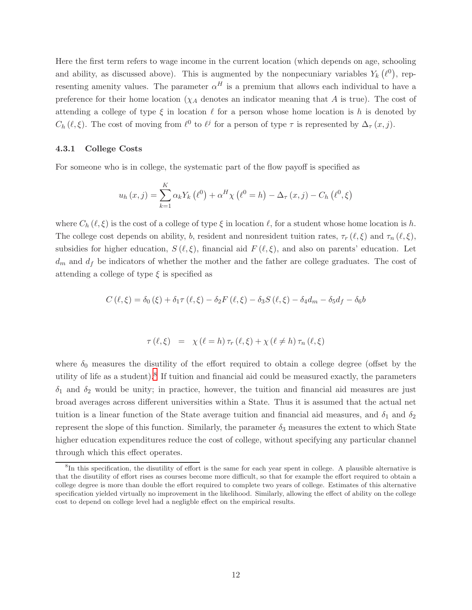Here the first term refers to wage income in the current location (which depends on age, schooling and ability, as discussed above). This is augmented by the nonpecuniary variables  $Y_k(\ell^0)$ , representing amenity values. The parameter  $\alpha^H$  is a premium that allows each individual to have a preference for their home location  $(\chi_A)$  denotes an indicator meaning that A is true). The cost of attending a college of type  $\xi$  in location  $\ell$  for a person whose home location is h is denoted by  $C_h(\ell, \xi)$ . The cost of moving from  $\ell^0$  to  $\ell^j$  for a person of type  $\tau$  is represented by  $\Delta_{\tau}(x, j)$ .

#### 4.3.1 College Costs

For someone who is in college, the systematic part of the flow payoff is specified as

$$
u_{h}(x, j) = \sum_{k=1}^{K} \alpha_{k} Y_{k} (\ell^{0}) + \alpha^{H} \chi (\ell^{0} = h) - \Delta_{\tau} (x, j) - C_{h} (\ell^{0}, \xi)
$$

where  $C_h(\ell,\xi)$  is the cost of a college of type  $\xi$  in location  $\ell$ , for a student whose home location is h. The college cost depends on ability, b, resident and nonresident tuition rates,  $\tau_r(\ell,\xi)$  and  $\tau_n(\ell,\xi)$ , subsidies for higher education,  $S(\ell, \xi)$ , financial aid  $F(\ell, \xi)$ , and also on parents' education. Let  $d_m$  and  $d_f$  be indicators of whether the mother and the father are college graduates. The cost of attending a college of type  $\xi$  is specified as

$$
C(\ell, \xi) = \delta_0(\xi) + \delta_1 \tau(\ell, \xi) - \delta_2 F(\ell, \xi) - \delta_3 S(\ell, \xi) - \delta_4 d_m - \delta_5 d_f - \delta_6 b
$$

$$
\tau(\ell,\xi) = \chi(\ell=h)\tau_r(\ell,\xi) + \chi(\ell \neq h)\tau_n(\ell,\xi)
$$

where  $\delta_0$  measures the disutility of the effort required to obtain a college degree (offset by the utility of life as a student).<sup>[8](#page-11-0)</sup> If tuition and financial aid could be measured exactly, the parameters  $\delta_1$  and  $\delta_2$  would be unity; in practice, however, the tuition and financial aid measures are just broad averages across different universities within a State. Thus it is assumed that the actual net tuition is a linear function of the State average tuition and financial aid measures, and  $\delta_1$  and  $\delta_2$ represent the slope of this function. Similarly, the parameter  $\delta_3$  measures the extent to which State higher education expenditures reduce the cost of college, without specifying any particular channel through which this effect operates.

<span id="page-11-0"></span><sup>&</sup>lt;sup>8</sup>In this specification, the disutility of effort is the same for each year spent in college. A plausible alternative is that the disutility of effort rises as courses become more difficult, so that for example the effort required to obtain a college degree is more than double the effort required to complete two years of college. Estimates of this alternative specification yielded virtually no improvement in the likelihood. Similarly, allowing the effect of ability on the college cost to depend on college level had a negligble effect on the empirical results.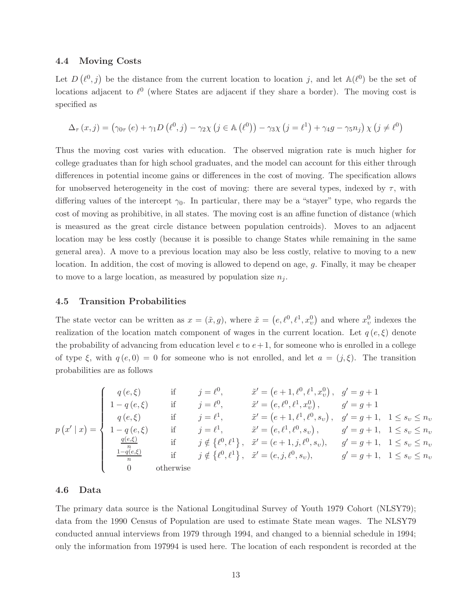#### 4.4 Moving Costs

Let  $D(\ell^0, j)$  be the distance from the current location to location j, and let  $\mathbb{A}(\ell^0)$  be the set of locations adjacent to  $\ell^0$  (where States are adjacent if they share a border). The moving cost is specified as

$$
\Delta_{\tau}(x,j) = (\gamma_{0\tau}(e) + \gamma_1 D(\ell^0, j) - \gamma_2 \chi (j \in \mathbb{A}(\ell^0)) - \gamma_3 \chi (j = \ell^1) + \gamma_4 g - \gamma_5 n_j) \chi (j \neq \ell^0)
$$

Thus the moving cost varies with education. The observed migration rate is much higher for college graduates than for high school graduates, and the model can account for this either through differences in potential income gains or differences in the cost of moving. The specification allows for unobserved heterogeneity in the cost of moving: there are several types, indexed by  $\tau$ , with differing values of the intercept  $\gamma_0$ . In particular, there may be a "stayer" type, who regards the cost of moving as prohibitive, in all states. The moving cost is an affine function of distance (which is measured as the great circle distance between population centroids). Moves to an adjacent location may be less costly (because it is possible to change States while remaining in the same general area). A move to a previous location may also be less costly, relative to moving to a new location. In addition, the cost of moving is allowed to depend on age, g. Finally, it may be cheaper to move to a large location, as measured by population size  $n<sub>j</sub>$ .

## 4.5 Transition Probabilities

The state vector can be written as  $x = (\tilde{x}, g)$ , where  $\tilde{x} = (e, \ell^0, \ell^1, x_v^0)$  and where  $x_v^0$  indexes the realization of the location match component of wages in the current location. Let  $q(e,\xi)$  denote the probability of advancing from education level  $e$  to  $e+1$ , for someone who is enrolled in a college of type  $\xi$ , with  $q(e, 0) = 0$  for someone who is not enrolled, and let  $a = (j, \xi)$ . The transition probabilities are as follows

$$
p(x' | x) = \begin{cases} q(e, \xi) & \text{if } j = \ell^0, & \tilde{x}' = (e + 1, \ell^0, \ell^1, x_v^0), & g' = g + 1 \\ 1 - q(e, \xi) & \text{if } j = \ell^0, & \tilde{x}' = (e, \ell^0, \ell^1, x_v^0), & g' = g + 1 \\ q(e, \xi) & \text{if } j = \ell^1, & \tilde{x}' = (e + 1, \ell^1, \ell^0, s_v), & g' = g + 1, & 1 \le s_v \le n_v \\ 1 - q(e, \xi) & \text{if } j = \ell^1, & \tilde{x}' = (e, \ell^1, \ell^0, s_v), & g' = g + 1, & 1 \le s_v \le n_v \\ \frac{q(e, \xi)}{n} & \text{if } j \notin \{\ell^0, \ell^1\}, & \tilde{x}' = (e + 1, j, \ell^0, s_v), & g' = g + 1, & 1 \le s_v \le n_v \\ \frac{1 - q(e, \xi)}{n} & \text{if } j \notin \{\ell^0, \ell^1\}, & \tilde{x}' = (e, j, \ell^0, s_v), & g' = g + 1, & 1 \le s_v \le n_v \\ 0 & \text{otherwise} \end{cases}
$$

#### 4.6 Data

The primary data source is the National Longitudinal Survey of Youth 1979 Cohort (NLSY79); data from the 1990 Census of Population are used to estimate State mean wages. The NLSY79 conducted annual interviews from 1979 through 1994, and changed to a biennial schedule in 1994; only the information from 197994 is used here. The location of each respondent is recorded at the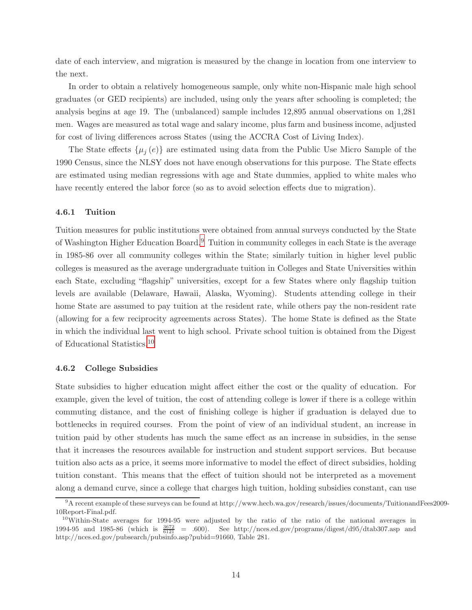date of each interview, and migration is measured by the change in location from one interview to the next.

In order to obtain a relatively homogeneous sample, only white non-Hispanic male high school graduates (or GED recipients) are included, using only the years after schooling is completed; the analysis begins at age 19. The (unbalanced) sample includes 12,895 annual observations on 1,281 men. Wages are measured as total wage and salary income, plus farm and business income, adjusted for cost of living differences across States (using the ACCRA Cost of Living Index).

The State effects  $\{\mu_i(e)\}\$ are estimated using data from the Public Use Micro Sample of the 1990 Census, since the NLSY does not have enough observations for this purpose. The State effects are estimated using median regressions with age and State dummies, applied to white males who have recently entered the labor force (so as to avoid selection effects due to migration).

#### 4.6.1 Tuition

Tuition measures for public institutions were obtained from annual surveys conducted by the State of Washington Higher Education Board.[9](#page-13-0) Tuition in community colleges in each State is the average in 1985-86 over all community colleges within the State; similarly tuition in higher level public colleges is measured as the average undergraduate tuition in Colleges and State Universities within each State, excluding "flagship" universities, except for a few States where only flagship tuition levels are available (Delaware, Hawaii, Alaska, Wyoming). Students attending college in their home State are assumed to pay tuition at the resident rate, while others pay the non-resident rate (allowing for a few reciprocity agreements across States). The home State is defined as the State in which the individual last went to high school. Private school tuition is obtained from the Digest of Educational Statistics.[10](#page-13-1)

#### 4.6.2 College Subsidies

State subsidies to higher education might affect either the cost or the quality of education. For example, given the level of tuition, the cost of attending college is lower if there is a college within commuting distance, and the cost of finishing college is higher if graduation is delayed due to bottlenecks in required courses. From the point of view of an individual student, an increase in tuition paid by other students has much the same effect as an increase in subsidies, in the sense that it increases the resources available for instruction and student support services. But because tuition also acts as a price, it seems more informative to model the effect of direct subsidies, holding tuition constant. This means that the effect of tuition should not be interpreted as a movement along a demand curve, since a college that charges high tuition, holding subsidies constant, can use

<span id="page-13-0"></span><sup>9</sup>A recent example of these surveys can be found at http://www.hecb.wa.gov/research/issues/documents/TuitionandFees2009- 10Report-Final.pdf.

<span id="page-13-1"></span><sup>10</sup>Within-State averages for 1994-95 were adjusted by the ratio of the ratio of the national averages in 1994-95 and 1985-86 (which is  $\frac{3672}{6121}$  = .600). See http://nces.ed.gov/programs/digest/d95/dtab307.asp and http://nces.ed.gov/pubsearch/pubsinfo.asp?pubid=91660, Table 281.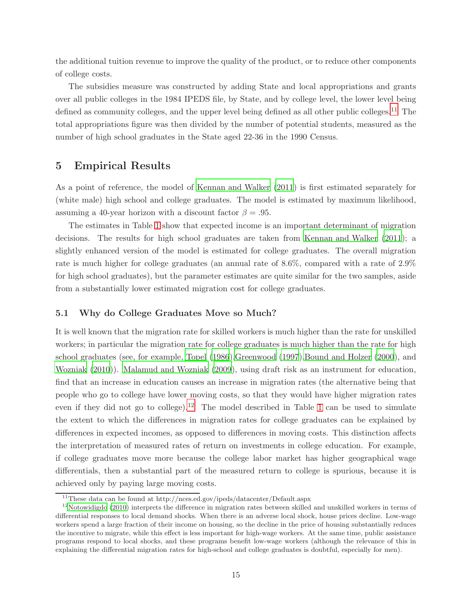the additional tuition revenue to improve the quality of the product, or to reduce other components of college costs.

The subsidies measure was constructed by adding State and local appropriations and grants over all public colleges in the 1984 IPEDS file, by State, and by college level, the lower level being defined as community colleges, and the upper level being defined as all other public colleges.<sup>[11](#page-14-0)</sup> The total appropriations figure was then divided by the number of potential students, measured as the number of high school graduates in the State aged 22-36 in the 1990 Census.

## 5 Empirical Results

As a point of reference, the model of [Kennan and Walker \(2011\)](#page-22-0) is first estimated separately for (white male) high school and college graduates. The model is estimated by maximum likelihood, assuming a 40-year horizon with a discount factor  $\beta = .95$ .

The estimates in Table [1](#page-15-0) show that expected income is an important determinant of migration decisions. The results for high school graduates are taken from [Kennan and Walker \(2011](#page-22-0)); a slightly enhanced version of the model is estimated for college graduates. The overall migration rate is much higher for college graduates (an annual rate of 8.6%, compared with a rate of 2.9% for high school graduates), but the parameter estimates are quite similar for the two samples, aside from a substantially lower estimated migration cost for college graduates.

#### 5.1 Why do College Graduates Move so Much?

It is well known that the migration rate for skilled workers is much higher than the rate for unskilled workers; in particular the migration rate for college graduates is much higher than the rate for high school graduates (see, for example, [Topel \(1986](#page-22-7))[,Greenwood \(1997\)](#page-21-11)[,Bound and Holzer \(2000](#page-21-12)), and [Wozniak \(2010\)](#page-22-8)). [Malamud and Wozniak \(2009](#page-22-9)), using draft risk as an instrument for education, find that an increase in education causes an increase in migration rates (the alternative being that people who go to college have lower moving costs, so that they would have higher migration rates even if they did not go to college).<sup>[12](#page-14-1)</sup> The model described in Table [1](#page-15-0) can be used to simulate the extent to which the differences in migration rates for college graduates can be explained by differences in expected incomes, as opposed to differences in moving costs. This distinction affects the interpretation of measured rates of return on investments in college education. For example, if college graduates move more because the college labor market has higher geographical wage differentials, then a substantial part of the measured return to college is spurious, because it is achieved only by paying large moving costs.

<span id="page-14-0"></span> $^{11}$  These data can be found at http://nces.ed.gov/ipeds/datacenter/Default.aspx

<span id="page-14-1"></span> $12$ [Notowidigdo \(2010](#page-22-10)) interprets the difference in migration rates between skilled and unskilled workers in terms of differential responses to local demand shocks. When there is an adverse local shock, house prices decline. Low-wage workers spend a large fraction of their income on housing, so the decline in the price of housing substantially reduces the incentive to migrate, while this effect is less important for high-wage workers. At the same time, public assistance programs respond to local shocks, and these programs benefit low-wage workers (although the relevance of this in explaining the differential migration rates for high-school and college graduates is doubtful, especially for men).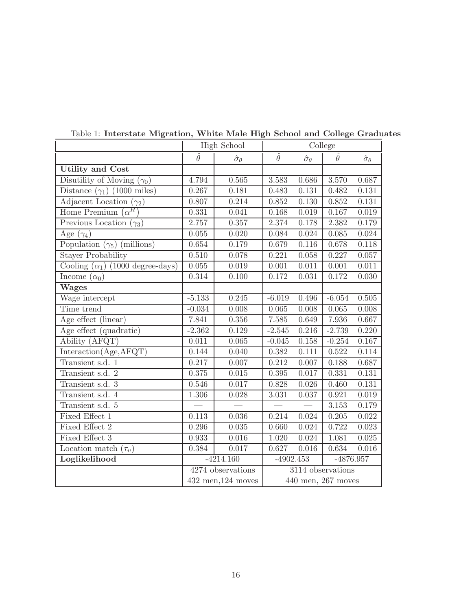|                                         | High School                     |                         | College                    |                         |                |                         |
|-----------------------------------------|---------------------------------|-------------------------|----------------------------|-------------------------|----------------|-------------------------|
|                                         | $\hat{\theta}$                  | $\hat{\sigma}_{\theta}$ | $\hat{\theta}$             | $\hat{\sigma}_{\theta}$ | $\hat{\theta}$ | $\hat{\sigma}_{\theta}$ |
| <b>Utility and Cost</b>                 |                                 |                         |                            |                         |                |                         |
| Disutility of Moving $(\gamma_0)$       | 4.794                           | 0.565                   | 3.583                      | 0.686                   | 3.570          | 0.687                   |
| Distance $(\gamma_1)$ (1000 miles)      | 0.267                           | 0.181                   | 0.483                      | 0.131                   | 0.482          | 0.131                   |
| Adjacent Location $(\gamma_2)$          | 0.807                           | 0.214                   | 0.852                      | 0.130                   | 0.852          | 0.131                   |
| Home Premium $(\alpha^H)$               | 0.331                           | 0.041                   | 0.168                      | 0.019                   | 0.167          | 0.019                   |
| Previous Location $(\gamma_3)$          | 2.757                           | 0.357                   | 2.374                      | 0.178                   | 2.382          | 0.179                   |
| Age $(\gamma_4)$                        | 0.055                           | 0.020                   | 0.084                      | 0.024                   | 0.085          | 0.024                   |
| Population $(\gamma_5)$ (millions)      | 0.654                           | 0.179                   | 0.679                      | 0.116                   | 0.678          | 0.118                   |
| <b>Stayer Probability</b>               | 0.510                           | 0.078                   | 0.221                      | 0.058                   | 0.227          | 0.057                   |
| Cooling $(\alpha_1)$ (1000 degree-days) | 0.055                           | 0.019                   | 0.001                      | $0.011\,$               | 0.001          | 0.011                   |
| Income $(\alpha_0)$                     | 0.314                           | 0.100                   | 0.172                      | 0.031                   | 0.172          | 0.030                   |
| <b>Wages</b>                            |                                 |                         |                            |                         |                |                         |
| Wage intercept                          | $-5.133$                        | 0.245                   | $-6.019$                   | 0.496                   | $-6.054$       | 0.505                   |
| Time trend                              | $-0.034$                        | 0.008                   | 0.065                      | 0.008                   | 0.065          | 0.008                   |
| Age effect (linear)                     | 7.841                           | $0.356\,$               | 7.585                      | 0.649                   | 7.936          | 0.667                   |
| Age effect (quadratic)                  | $-2.362$                        | 0.129                   | $-2.545$                   | 0.216                   | $-2.739$       | 0.220                   |
| Ability (AFQT)                          | 0.011                           | 0.065                   | $-0.045$                   | 0.158                   | $-0.254$       | 0.167                   |
| Interaction(Age, AFQT)                  | 0.144                           | 0.040                   | 0.382                      | 0.111                   | 0.522          | 0.114                   |
| Transient s.d. 1                        | 0.217                           | 0.007                   | 0.212                      | 0.007                   | 0.188          | 0.687                   |
| Transient s.d. 2                        | 0.375                           | 0.015                   | 0.395                      | 0.017                   | 0.331          | 0.131                   |
| Transient s.d. $3$                      | 0.546                           | 0.017                   | 0.828                      | 0.026                   | 0.460          | 0.131                   |
| Transient s.d. 4                        | 1.306                           | 0.028                   | 3.031                      | 0.037                   | 0.921          | 0.019                   |
| Transient s.d. 5                        |                                 |                         |                            |                         | 3.153          | 0.179                   |
| Fixed Effect 1                          | 0.113                           | 0.036                   | 0.214                      | 0.024                   | 0.205          | 0.022                   |
| Fixed Effect 2                          | 0.296                           | $0.035\,$               | 0.660                      | 0.024                   | 0.722          | 0.023                   |
| Fixed Effect 3                          | 0.933                           | 0.016                   | 1.020                      | 0.024                   | 1.081          | 0.025                   |
| Location match $(\tau_v)$               | 0.384                           | 0.017                   | 0.627                      | 0.016                   | 0.634          | 0.016                   |
| Loglikelihood                           |                                 | $-4214.160$             | $-4902.453$<br>$-4876.957$ |                         |                |                         |
|                                         |                                 | 4274 observations       | 3114 observations          |                         |                |                         |
|                                         | $\overline{43}2$ men, 124 moves |                         | 440 men, 267 moves         |                         |                |                         |

<span id="page-15-0"></span>Table 1: Interstate Migration, White Male High School and College Graduates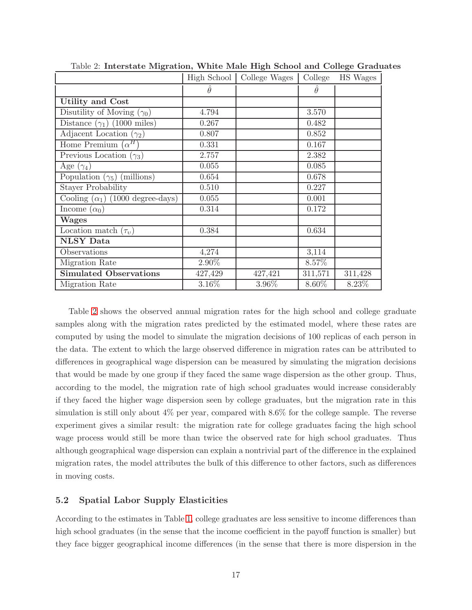|                                         | High School     | College Wages | College         | HS Wages |
|-----------------------------------------|-----------------|---------------|-----------------|----------|
|                                         | $\ddot{\theta}$ |               | $\ddot{\theta}$ |          |
| <b>Utility and Cost</b>                 |                 |               |                 |          |
| Disutility of Moving $(\gamma_0)$       | 4.794           |               | 3.570           |          |
| Distance $(\gamma_1)$ (1000 miles)      | 0.267           |               | 0.482           |          |
| Adjacent Location $(\gamma_2)$          | 0.807           |               | 0.852           |          |
| Home Premium $(\alpha^H)$               | 0.331           |               | 0.167           |          |
| Previous Location $(\gamma_3)$          | 2.757           |               | 2.382           |          |
| Age $(\gamma_4)$                        | 0.055           |               | 0.085           |          |
| Population $(\gamma_5)$ (millions)      | 0.654           |               | 0.678           |          |
| <b>Stayer Probability</b>               | 0.510           |               | 0.227           |          |
| Cooling $(\alpha_1)$ (1000 degree-days) | 0.055           |               | 0.001           |          |
| Income $(\alpha_0)$                     | 0.314           |               | 0.172           |          |
| <b>Wages</b>                            |                 |               |                 |          |
| Location match $(\tau_v)$               | 0.384           |               | 0.634           |          |
| <b>NLSY Data</b>                        |                 |               |                 |          |
| Observations                            | 4,274           |               | 3,114           |          |
| Migration Rate                          | 2.90%           |               | 8.57%           |          |
| <b>Simulated Observations</b>           | 427,429         | 427,421       | 311,571         | 311,428  |
| Migration Rate                          | 3.16%           | 3.96%         | 8.60%           | 8.23%    |

<span id="page-16-0"></span>Table 2: Interstate Migration, White Male High School and College Graduates

Table [2](#page-16-0) shows the observed annual migration rates for the high school and college graduate samples along with the migration rates predicted by the estimated model, where these rates are computed by using the model to simulate the migration decisions of 100 replicas of each person in the data. The extent to which the large observed difference in migration rates can be attributed to differences in geographical wage dispersion can be measured by simulating the migration decisions that would be made by one group if they faced the same wage dispersion as the other group. Thus, according to the model, the migration rate of high school graduates would increase considerably if they faced the higher wage dispersion seen by college graduates, but the migration rate in this simulation is still only about 4% per year, compared with 8.6% for the college sample. The reverse experiment gives a similar result: the migration rate for college graduates facing the high school wage process would still be more than twice the observed rate for high school graduates. Thus although geographical wage dispersion can explain a nontrivial part of the difference in the explained migration rates, the model attributes the bulk of this difference to other factors, such as differences in moving costs.

### 5.2 Spatial Labor Supply Elasticities

According to the estimates in Table [1,](#page-15-0) college graduates are less sensitive to income differences than high school graduates (in the sense that the income coefficient in the payoff function is smaller) but they face bigger geographical income differences (in the sense that there is more dispersion in the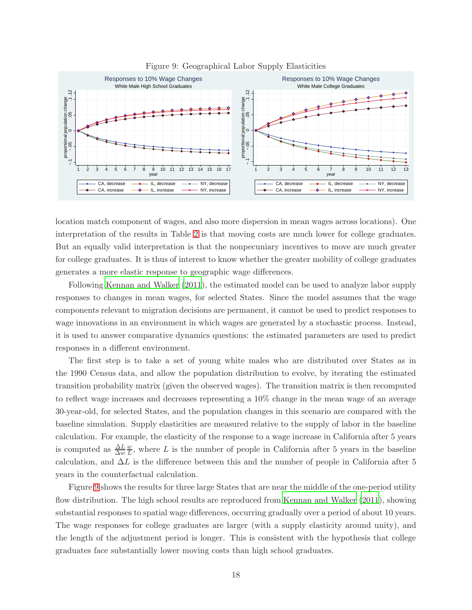

<span id="page-17-0"></span>Figure 9: Geographical Labor Supply Elasticities

location match component of wages, and also more dispersion in mean wages across locations). One interpretation of the results in Table [2](#page-16-0) is that moving costs are much lower for college graduates. But an equally valid interpretation is that the nonpecuniary incentives to move are much greater for college graduates. It is thus of interest to know whether the greater mobility of college graduates generates a more elastic response to geographic wage differences.

Following [Kennan and Walker \(2011](#page-22-0)), the estimated model can be used to analyze labor supply responses to changes in mean wages, for selected States. Since the model assumes that the wage components relevant to migration decisions are permanent, it cannot be used to predict responses to wage innovations in an environment in which wages are generated by a stochastic process. Instead, it is used to answer comparative dynamics questions: the estimated parameters are used to predict responses in a different environment.

The first step is to take a set of young white males who are distributed over States as in the 1990 Census data, and allow the population distribution to evolve, by iterating the estimated transition probability matrix (given the observed wages). The transition matrix is then recomputed to reflect wage increases and decreases representing a 10% change in the mean wage of an average 30-year-old, for selected States, and the population changes in this scenario are compared with the baseline simulation. Supply elasticities are measured relative to the supply of labor in the baseline calculation. For example, the elasticity of the response to a wage increase in California after 5 years is computed as  $\frac{\Delta L}{\Delta w}$ w  $\frac{w}{L}$ , where L is the number of people in California after 5 years in the baseline calculation, and  $\Delta L$  is the difference between this and the number of people in California after 5 years in the counterfactual calculation.

Figure [9](#page-17-0) shows the results for three large States that are near the middle of the one-period utility flow distribution. The high school results are reproduced from [Kennan and Walker \(2011\)](#page-22-0), showing substantial responses to spatial wage differences, occurring gradually over a period of about 10 years. The wage responses for college graduates are larger (with a supply elasticity around unity), and the length of the adjustment period is longer. This is consistent with the hypothesis that college graduates face substantially lower moving costs than high school graduates.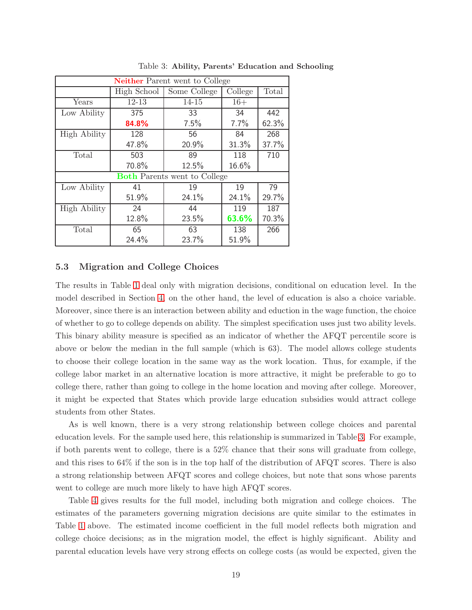| <b>Neither Parent went to College</b> |             |                         |       |       |  |
|---------------------------------------|-------------|-------------------------|-------|-------|--|
|                                       | High School | Some College<br>College |       | Total |  |
| Years                                 | 12-13       | $14 - 15$               | $16+$ |       |  |
| Low Ability                           | 375         | 33                      | 34    | 442   |  |
|                                       | 84.8%       | 7.5%                    | 7.7%  | 62.3% |  |
| <b>High Ability</b>                   | 128         | 56                      | 84    | 268   |  |
|                                       | 47.8%       | 20.9%                   | 31.3% | 37.7% |  |
| Total                                 | 503         | 89                      | 118   | 710   |  |
|                                       | 70.8%       | 12.5%                   | 16.6% |       |  |
| <b>Both Parents went to College</b>   |             |                         |       |       |  |
| Low Ability                           | 41          | 19                      | 19    | 79    |  |
|                                       | 51.9%       | 24.1%                   | 24.1% | 29.7% |  |
| <b>High Ability</b>                   | 24          | 44                      | 119   | 187   |  |
|                                       | 12.8%       | 23.5%                   | 63.6% | 70.3% |  |
| Total                                 | 65          | 63                      | 138   | 266   |  |
|                                       | 24.4%       | 23.7%                   | 51.9% |       |  |

<span id="page-18-0"></span>Table 3: Ability, Parents' Education and Schooling

#### 5.3 Migration and College Choices

The results in Table [1](#page-15-0) deal only with migration decisions, conditional on education level. In the model described in Section [4,](#page-7-0) on the other hand, the level of education is also a choice variable. Moreover, since there is an interaction between ability and eduction in the wage function, the choice of whether to go to college depends on ability. The simplest specification uses just two ability levels. This binary ability measure is specified as an indicator of whether the AFQT percentile score is above or below the median in the full sample (which is 63). The model allows college students to choose their college location in the same way as the work location. Thus, for example, if the college labor market in an alternative location is more attractive, it might be preferable to go to college there, rather than going to college in the home location and moving after college. Moreover, it might be expected that States which provide large education subsidies would attract college students from other States.

As is well known, there is a very strong relationship between college choices and parental education levels. For the sample used here, this relationship is summarized in Table [3.](#page-18-0) For example, if both parents went to college, there is a 52% chance that their sons will graduate from college, and this rises to 64% if the son is in the top half of the distribution of AFQT scores. There is also a strong relationship between AFQT scores and college choices, but note that sons whose parents went to college are much more likely to have high AFQT scores.

Table [4](#page-19-0) gives results for the full model, including both migration and college choices. The estimates of the parameters governing migration decisions are quite similar to the estimates in Table [1](#page-15-0) above. The estimated income coefficient in the full model reflects both migration and college choice decisions; as in the migration model, the effect is highly significant. Ability and parental education levels have very strong effects on college costs (as would be expected, given the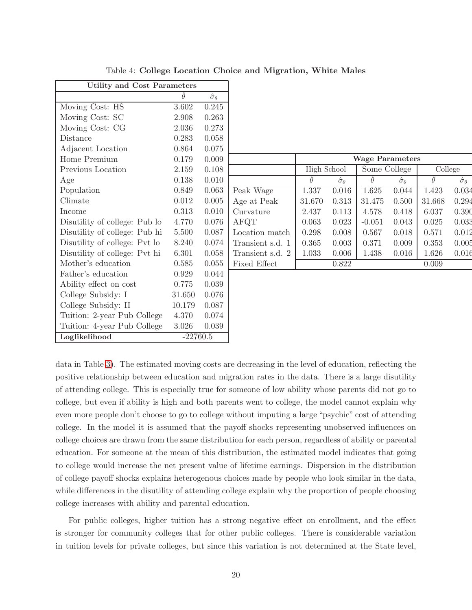| <b>Utility and Cost Parameters</b> |            |                         |  |  |
|------------------------------------|------------|-------------------------|--|--|
|                                    | $\theta$   | $\hat{\sigma}_{\theta}$ |  |  |
| Moving Cost: HS                    | 3.602      | 0.245                   |  |  |
| Moving Cost: SC                    | 2.908      | 0.263                   |  |  |
| Moving Cost: CG                    | 2.036      | 0.273                   |  |  |
| Distance                           | 0.283      | 0.058                   |  |  |
| Adjacent Location                  | 0.864      | 0.075                   |  |  |
| Home Premium                       | 0.179      | 0.009                   |  |  |
| Previous Location                  | 2.159      | 0.108                   |  |  |
| Age                                | 0.138      | 0.010                   |  |  |
| Population                         | 0.849      | 0.063                   |  |  |
| Climate                            | 0.012      | 0.005                   |  |  |
| Income                             | 0.313      | 0.010                   |  |  |
| Disutility of college: Pub lo      | 4.770      | 0.076                   |  |  |
| Disutility of college: Pub hi      | 5.500      | 0.087                   |  |  |
| Disutility of college: Pvt lo      | 8.240      | 0.074                   |  |  |
| Disutility of college: Pvt hi      | 6.301      | 0.058                   |  |  |
| Mother's education                 | 0.585      | 0.055                   |  |  |
| Father's education                 | 0.929      | 0.044                   |  |  |
| Ability effect on cost             | 0.775      | 0.039                   |  |  |
| College Subsidy: I                 | 31.650     | 0.076                   |  |  |
| College Subsidy: II                | 10.179     | 0.087                   |  |  |
| Tuition: 2-year Pub College        | 4.370      | 0.074                   |  |  |
| Tuition: 4-year Pub College        | 3.026      | 0.039                   |  |  |
| Loglikelihood                      | $-22760.5$ |                         |  |  |

<span id="page-19-0"></span>Table 4: College Location Choice and Migration, White Males

|                  | <b>Wage Parameters</b> |                         |              |                         |          |                         |  |
|------------------|------------------------|-------------------------|--------------|-------------------------|----------|-------------------------|--|
|                  | High School            |                         | Some College |                         | College  |                         |  |
|                  | $\theta$               | $\hat{\sigma}_{\theta}$ | $\theta$     | $\hat{\sigma}_{\theta}$ | $\theta$ | $\hat{\sigma}_{\theta}$ |  |
| Peak Wage        | 1.337                  | 0.016                   | 1.625        | 0.044                   | 1.423    | 0.034                   |  |
| Age at Peak      | 31.670                 | 0.313                   | 31.475       | 0.500                   | 31.668   | 0.294                   |  |
| Curvature        | 2.437                  | 0.113                   | 4.578        | 0.418                   | 6.037    | 0.390                   |  |
| AFQT             | 0.063                  | 0.023                   | $-0.051$     | 0.043                   | 0.025    | 0.033                   |  |
| Location match   | 0.298                  | 0.008                   | 0.567        | 0.018                   | 0.571    | 0.012                   |  |
| Transient s.d. 1 | 0.365                  | 0.003                   | 0.371        | 0.009                   | 0.353    | 0.005                   |  |
| Transient s.d. 2 | 1.033                  | 0.006                   | 1.438        | 0.016                   | 1.626    | 0.016                   |  |
| Fixed Effect     |                        | 0.822                   |              |                         | 0.009    |                         |  |
|                  |                        |                         |              |                         |          |                         |  |

data in Table [3\)](#page-18-0). The estimated moving costs are decreasing in the level of education, reflecting the positive relationship between education and migration rates in the data. There is a large disutility of attending college. This is especially true for someone of low ability whose parents did not go to college, but even if ability is high and both parents went to college, the model cannot explain why even more people don't choose to go to college without imputing a large "psychic" cost of attending college. In the model it is assumed that the payoff shocks representing unobserved influences on college choices are drawn from the same distribution for each person, regardless of ability or parental education. For someone at the mean of this distribution, the estimated model indicates that going to college would increase the net present value of lifetime earnings. Dispersion in the distribution of college payoff shocks explains heterogenous choices made by people who look similar in the data, while differences in the disutility of attending college explain why the proportion of people choosing college increases with ability and parental education.

For public colleges, higher tuition has a strong negative effect on enrollment, and the effect is stronger for community colleges that for other public colleges. There is considerable variation in tuition levels for private colleges, but since this variation is not determined at the State level,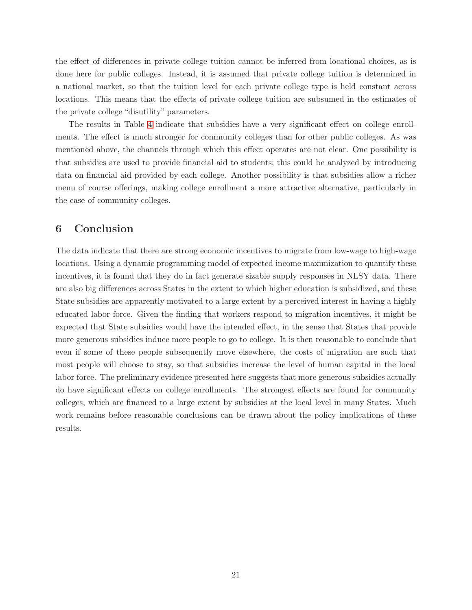the effect of differences in private college tuition cannot be inferred from locational choices, as is done here for public colleges. Instead, it is assumed that private college tuition is determined in a national market, so that the tuition level for each private college type is held constant across locations. This means that the effects of private college tuition are subsumed in the estimates of the private college "disutility" parameters.

The results in Table [4](#page-19-0) indicate that subsidies have a very significant effect on college enrollments. The effect is much stronger for community colleges than for other public colleges. As was mentioned above, the channels through which this effect operates are not clear. One possibility is that subsidies are used to provide financial aid to students; this could be analyzed by introducing data on financial aid provided by each college. Another possibility is that subsidies allow a richer menu of course offerings, making college enrollment a more attractive alternative, particularly in the case of community colleges.

# 6 Conclusion

The data indicate that there are strong economic incentives to migrate from low-wage to high-wage locations. Using a dynamic programming model of expected income maximization to quantify these incentives, it is found that they do in fact generate sizable supply responses in NLSY data. There are also big differences across States in the extent to which higher education is subsidized, and these State subsidies are apparently motivated to a large extent by a perceived interest in having a highly educated labor force. Given the finding that workers respond to migration incentives, it might be expected that State subsidies would have the intended effect, in the sense that States that provide more generous subsidies induce more people to go to college. It is then reasonable to conclude that even if some of these people subsequently move elsewhere, the costs of migration are such that most people will choose to stay, so that subsidies increase the level of human capital in the local labor force. The preliminary evidence presented here suggests that more generous subsidies actually do have significant effects on college enrollments. The strongest effects are found for community colleges, which are financed to a large extent by subsidies at the local level in many States. Much work remains before reasonable conclusions can be drawn about the policy implications of these results.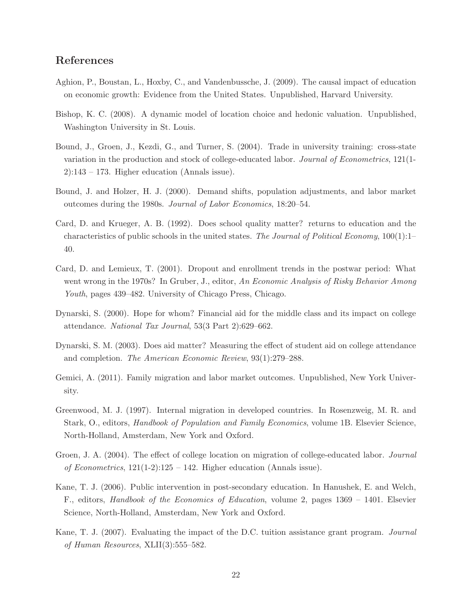# References

- <span id="page-21-10"></span>Aghion, P., Boustan, L., Hoxby, C., and Vandenbussche, J. (2009). The causal impact of education on economic growth: Evidence from the United States. Unpublished, Harvard University.
- <span id="page-21-1"></span>Bishop, K. C. (2008). A dynamic model of location choice and hedonic valuation. Unpublished, Washington University in St. Louis.
- <span id="page-21-8"></span>Bound, J., Groen, J., Kezdi, G., and Turner, S. (2004). Trade in university training: cross-state variation in the production and stock of college-educated labor. Journal of Econometrics, 121(1-  $2$ :143 – 173. Higher education (Annals issue).
- <span id="page-21-12"></span>Bound, J. and Holzer, H. J. (2000). Demand shifts, population adjustments, and labor market outcomes during the 1980s. Journal of Labor Economics, 18:20–54.
- <span id="page-21-7"></span>Card, D. and Krueger, A. B. (1992). Does school quality matter? returns to education and the characteristics of public schools in the united states. The Journal of Political Economy, 100(1):1– 40.
- <span id="page-21-6"></span>Card, D. and Lemieux, T. (2001). Dropout and enrollment trends in the postwar period: What went wrong in the 1970s? In Gruber, J., editor, An Economic Analysis of Risky Behavior Among Youth, pages 439–482. University of Chicago Press, Chicago.
- <span id="page-21-4"></span>Dynarski, S. (2000). Hope for whom? Financial aid for the middle class and its impact on college attendance. National Tax Journal, 53(3 Part 2):629–662.
- <span id="page-21-5"></span>Dynarski, S. M. (2003). Does aid matter? Measuring the effect of student aid on college attendance and completion. The American Economic Review, 93(1):279–288.
- <span id="page-21-0"></span>Gemici, A. (2011). Family migration and labor market outcomes. Unpublished, New York University.
- <span id="page-21-11"></span>Greenwood, M. J. (1997). Internal migration in developed countries. In Rosenzweig, M. R. and Stark, O., editors, Handbook of Population and Family Economics, volume 1B. Elsevier Science, North-Holland, Amsterdam, New York and Oxford.
- <span id="page-21-9"></span>Groen, J. A. (2004). The effect of college location on migration of college-educated labor. Journal of Econometrics,  $121(1-2):125 - 142$ . Higher education (Annals issue).
- <span id="page-21-2"></span>Kane, T. J. (2006). Public intervention in post-secondary education. In Hanushek, E. and Welch, F., editors, Handbook of the Economics of Education, volume 2, pages 1369 – 1401. Elsevier Science, North-Holland, Amsterdam, New York and Oxford.
- <span id="page-21-3"></span>Kane, T. J. (2007). Evaluating the impact of the D.C. tuition assistance grant program. Journal of Human Resources, XLII(3):555–582.